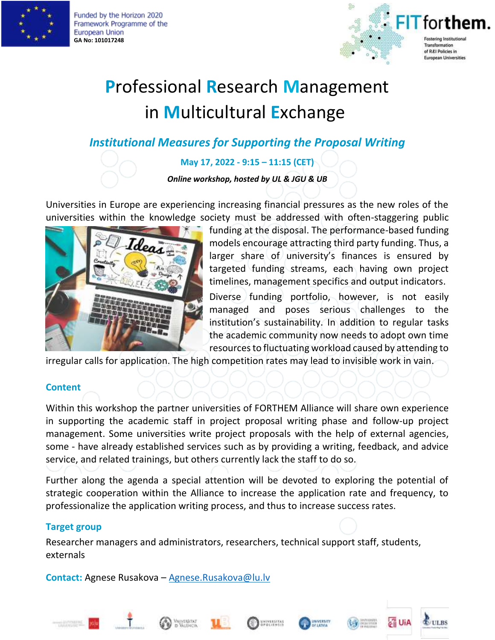

Funded by the Horizon 2020 Framework Programme of the European Union **GA No: 101017248**



# **P**rofessional **R**esearch **M**anagement in **M**ulticultural **E**xchange

### *Institutional Measures for Supporting the Proposal Writing*

#### **May 17, 2022 - 9:15 – 11:15 (CET)**

*Online workshop, hosted by UL & JGU & UB*

Universities in Europe are experiencing increasing financial pressures as the new roles of the universities within the knowledge society must be addressed with often-staggering public



funding at the disposal. The performance-based funding models encourage attracting third party funding. Thus, a larger share of university's finances is ensured by targeted funding streams, each having own project timelines, management specifics and output indicators.

Diverse funding portfolio, however, is not easily managed and poses serious challenges to the institution's sustainability. In addition to regular tasks the academic community now needs to adopt own time resources to fluctuating workload caused by attending to

irregular calls for application. The high competition rates may lead to invisible work in vain.

#### **Content**

Within this workshop the partner universities of FORTHEM Alliance will share own experience in supporting the academic staff in project proposal writing phase and follow-up project management. Some universities write project proposals with the help of external agencies, some - have already established services such as by providing a writing, feedback, and advice service, and related trainings, but others currently lack the staff to do so.

Further along the agenda a special attention will be devoted to exploring the potential of strategic cooperation within the Alliance to increase the application rate and frequency, to professionalize the application writing process, and thus to increase success rates.

#### **Target group**

Researcher managers and administrators, researchers, technical support staff, students, externals

**Contact:** Agnese Rusakova – [Agnese.Rusakova@lu.lv](mailto:Agnese.Rusakova@lu.lv)











**CULBS**